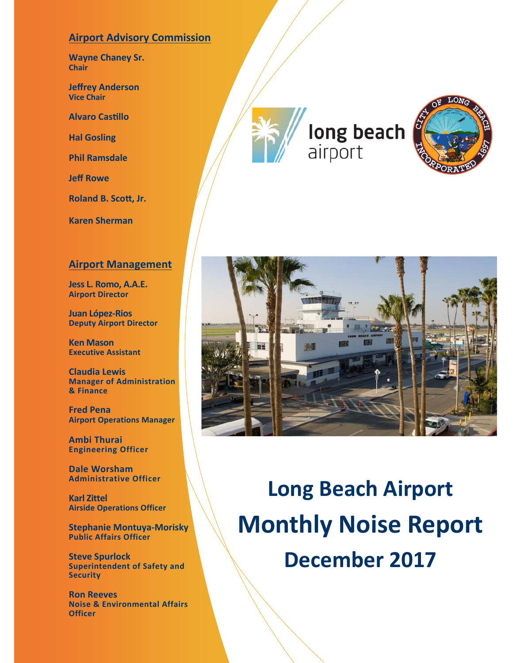### **Airport Advisory Commission**

**Wayne Chaney Sr. Chair** 

**Jeffrey Anderson Vice Chair**

**Alvaro CasƟllo** 

**Hal Gosling** 

**Phil Ramsdale** 

**Jeff Rowe** 

**Roland B. ScoƩ, Jr.** 

**Karen Sherman** 

#### **Airport Management**

**Jess L. Romo, A.A.E. Airport Director** 

**Juan López‐Rios Deputy Airport Director** 

**Ken Mason Executive Assistant** 

**Claudia Lewis Manager of Administration & Finance** 

**Fred Pena Airport Operations Manager** 

**Ambi Thurai Engineering Officer** 

**Dale Worsham Administrative Officer**

**Karl Zittel Airside Operations Officer** 

**Stephanie Montuya‐Morisky Public Affairs Officer** 

**Steve Spurlock Superintendent of Safety and Security**

**Ron Reeves Noise & Environmental Affairs Officer** 

long beach airport





**Long Beach Airport Monthly Noise Report December 2017**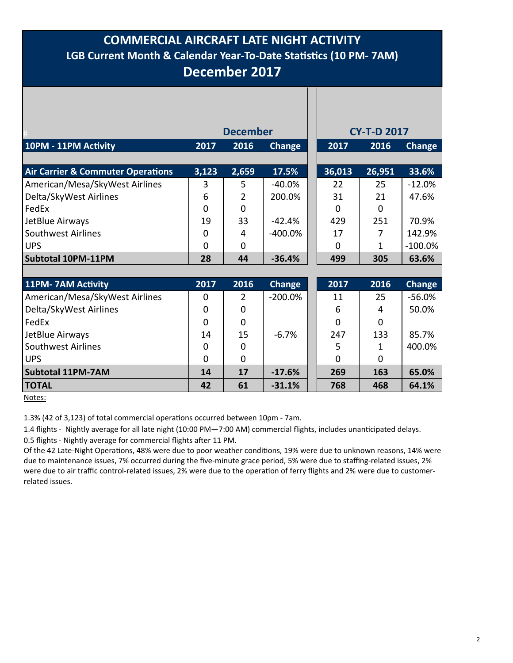### **COMMERCIAL AIRCRAFT LATE NIGHT ACTIVITY LGB Current Month & Calendar Year‐To‐Date StaƟsƟcs (10 PM‐ 7AM) December 2017**

|                                              |          | <b>December</b> |               | <b>CY-T-D 2017</b> |          |               |
|----------------------------------------------|----------|-----------------|---------------|--------------------|----------|---------------|
| 10PM - 11PM Activity                         | 2017     | 2016            | <b>Change</b> | 2017               | 2016     | Change        |
|                                              |          |                 |               |                    |          |               |
| <b>Air Carrier &amp; Commuter Operations</b> | 3,123    | 2,659           | 17.5%         | 36,013             | 26,951   | 33.6%         |
| American/Mesa/SkyWest Airlines               | 3        | 5               | $-40.0%$      | 22                 | 25       | $-12.0%$      |
| Delta/SkyWest Airlines                       | 6        | 2               | 200.0%        | 31                 | 21       | 47.6%         |
| FedEx                                        | $\Omega$ | 0               |               | 0                  | $\Omega$ |               |
| JetBlue Airways                              | 19       | 33              | $-42.4%$      | 429                | 251      | 70.9%         |
| <b>Southwest Airlines</b>                    | 0        | 4               | $-400.0%$     | 17                 |          | 142.9%        |
| <b>UPS</b>                                   | $\Omega$ | 0               |               | $\Omega$           | 1        | $-100.0%$     |
| Subtotal 10PM-11PM                           | 28       | 44              | $-36.4%$      | 499                | 305      | 63.6%         |
|                                              |          |                 |               |                    |          |               |
| 11PM-7AM Activity                            | 2017     | 2016            | <b>Change</b> | 2017               | 2016     | <b>Change</b> |
| American/Mesa/SkyWest Airlines               | 0        | 2               | $-200.0%$     | 11                 | 25       | $-56.0%$      |
| Delta/SkyWest Airlines                       | 0        | $\Omega$        |               | 6                  | 4        | 50.0%         |
| FedEx                                        | 0        | $\Omega$        |               | $\Omega$           | $\Omega$ |               |
| JetBlue Airways                              | 14       | 15              | $-6.7%$       | 247                | 133      | 85.7%         |
| <b>Southwest Airlines</b>                    | 0        | 0               |               | 5                  |          | 400.0%        |
| <b>UPS</b>                                   | 0        | 0               |               | 0                  | 0        |               |

Notes:

1.3% (42 of 3,123) of total commercial operations occurred between 10pm - 7am.

1.4 flights - Nightly average for all late night (10:00 PM—7:00 AM) commercial flights, includes unanticipated delays.

 **Subtotal 11PM‐7AM 14 17 ‐17.6% 269 163 65.0% TOTAL 10.1 10.1 10.1 10.1 10.1 10.1 10.1 10.1 10.1 10.1 10.1 10.1 10.1 10.1 10.1 10.1 10.1 10.1 10.1 10.1 10.1 10.1 10.1 10.1 10.1 10.1 10.1 10.1 10.1 10.1 10** 

0.5 flights - Nightly average for commercial flights after 11 PM.

Of the 42 Late-Night Operations, 48% were due to poor weather conditions, 19% were due to unknown reasons, 14% were due to maintenance issues, 7% occurred during the five-minute grace period, 5% were due to staffing-related issues, 2% were due to air traffic control-related issues, 2% were due to the operation of ferry flights and 2% were due to customerrelated issues.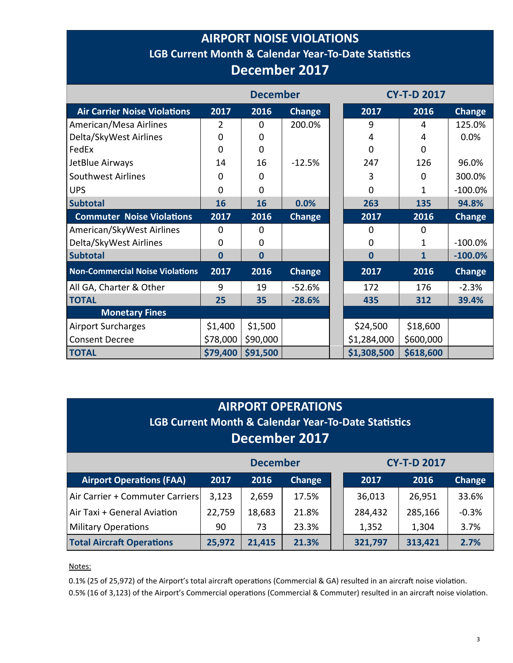# **AIRPORT NOISE VIOLATIONS LGB Current Month & Calendar Year-To-Date Statistics December 2017**

|                                        | <b>December</b> |                |               |                   | <b>CY-T-D 2017</b> |               |
|----------------------------------------|-----------------|----------------|---------------|-------------------|--------------------|---------------|
| <b>Air Carrier Noise Violations</b>    | 2017            | 2016           | Change        | 2017              | 2016               | <b>Change</b> |
| American/Mesa Airlines                 | 2               | 0              | 200.0%        | 9                 | 4                  | 125.0%        |
| Delta/SkyWest Airlines                 | 0               | 0              |               | 4                 | 4                  | 0.0%          |
| FedEx                                  | $\Omega$        | $\overline{0}$ |               | $\Omega$          | $\Omega$           |               |
| JetBlue Airways                        | 14              | 16             | $-12.5%$      | 247               | 126                | 96.0%         |
| Southwest Airlines                     | 0               | $\mathbf 0$    |               | 3                 | $\Omega$           | 300.0%        |
| <b>UPS</b>                             | 0               | $\mathbf 0$    |               | 0                 | 1                  | $-100.0%$     |
| <b>Subtotal</b>                        | 16              | 16             | 0.0%          | 263               | 135                | 94.8%         |
| <b>Commuter Noise Violations</b>       | 2017            | 2016           | Change        | $\overline{2017}$ | 2016               | <b>Change</b> |
| American/SkyWest Airlines              | $\Omega$        | 0              |               | $\Omega$          | $\Omega$           |               |
| Delta/SkyWest Airlines                 | 0               | 0              |               | $\mathbf 0$       | 1                  | $-100.0\%$    |
| <b>Subtotal</b>                        | $\bf{0}$        | $\overline{0}$ |               | $\bf{0}$          | $\mathbf{1}$       | $-100.0%$     |
| <b>Non-Commercial Noise Violations</b> | 2017            | 2016           | <b>Change</b> | 2017              | 2016               | <b>Change</b> |
| All GA, Charter & Other                | 9               | 19             | $-52.6%$      | 172               | 176                | $-2.3%$       |
| <b>TOTAL</b>                           | 25              | 35             | $-28.6%$      | 435               | 312                | 39.4%         |
| <b>Monetary Fines</b>                  |                 |                |               |                   |                    |               |
| <b>Airport Surcharges</b>              | \$1,400         | \$1,500        |               | \$24,500          | \$18,600           |               |
| <b>Consent Decree</b>                  | \$78,000        | \$90,000       |               | \$1,284,000       | \$600,000          |               |
| <b>TOTAL</b>                           | \$79,400        | \$91,500       |               | \$1,308,500       | \$618,600          |               |

| <b>AIRPORT OPERATIONS</b><br><b>LGB Current Month &amp; Calendar Year-To-Date Statistics</b><br>December 2017 |                                             |        |       |  |         |         |        |  |  |  |  |
|---------------------------------------------------------------------------------------------------------------|---------------------------------------------|--------|-------|--|---------|---------|--------|--|--|--|--|
| <b>December</b><br><b>CY-T-D 2017</b>                                                                         |                                             |        |       |  |         |         |        |  |  |  |  |
| <b>Airport Operations (FAA)</b>                                                                               | Change<br>2017<br>2016                      |        |       |  | 2017    | 2016    | Change |  |  |  |  |
| Air Carrier + Commuter Carriers                                                                               | 3,123                                       | 2,659  | 17.5% |  | 36,013  | 26,951  | 33.6%  |  |  |  |  |
| Air Taxi + General Aviation<br>22,759<br>18,683<br>21.8%<br>$-0.3%$<br>284,432<br>285,166                     |                                             |        |       |  |         |         |        |  |  |  |  |
| <b>Military Operations</b>                                                                                    | 23.3%<br>1,352<br>1,304<br>3.7%<br>73<br>90 |        |       |  |         |         |        |  |  |  |  |
| <b>Total Aircraft Operations</b>                                                                              | 25,972                                      | 21,415 | 21.3% |  | 321,797 | 313,421 | 2.7%   |  |  |  |  |

Notes:

0.1% (25 of 25,972) of the Airport's total aircraft operations (Commercial & GA) resulted in an aircraft noise violation. 0.5% (16 of 3,123) of the Airport's Commercial operations (Commercial & Commuter) resulted in an aircraft noise violation.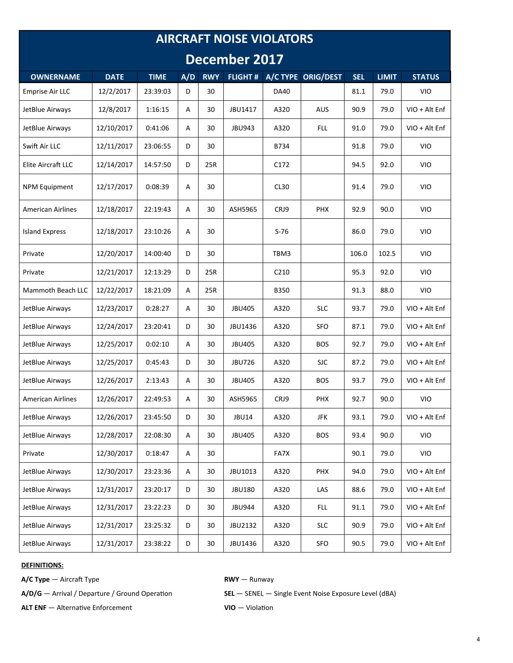| <b>AIRCRAFT NOISE VIOLATORS</b> |             |             |     |            |                |                  |                    |            |              |               |
|---------------------------------|-------------|-------------|-----|------------|----------------|------------------|--------------------|------------|--------------|---------------|
| December 2017                   |             |             |     |            |                |                  |                    |            |              |               |
| <b>OWNERNAME</b>                | <b>DATE</b> | <b>TIME</b> | A/D | <b>RWY</b> | <b>FLIGHT#</b> |                  | A/C TYPE ORIG/DEST | <b>SEL</b> | <b>LIMIT</b> | <b>STATUS</b> |
| <b>Emprise Air LLC</b>          | 12/2/2017   | 23:39:03    | D   | 30         |                | <b>DA40</b>      |                    | 81.1       | 79.0         | <b>VIO</b>    |
| JetBlue Airways                 | 12/8/2017   | 1:16:15     | Α   | 30         | JBU1417        | A320             | <b>AUS</b>         | 90.9       | 79.0         | VIO + Alt Enf |
| JetBlue Airways                 | 12/10/2017  | 0:41:06     | A   | 30         | <b>JBU943</b>  | A320             | FLL.               | 91.0       | 79.0         | VIO + Alt Enf |
| Swift Air LLC                   | 12/11/2017  | 23:06:55    | D   | 30         |                | B734             |                    | 91.8       | 79.0         | <b>VIO</b>    |
| Elite Aircraft LLC              | 12/14/2017  | 14:57:50    | D   | 25R        |                | C <sub>172</sub> |                    | 94.5       | 92.0         | <b>VIO</b>    |
| <b>NPM Equipment</b>            | 12/17/2017  | 0:08:39     | Α   | 30         |                | CL30             |                    | 91.4       | 79.0         | <b>VIO</b>    |
| <b>American Airlines</b>        | 12/18/2017  | 22:19:43    | A   | 30         | ASH5965        | CRJ9             | <b>PHX</b>         | 92.9       | 90.0         | <b>VIO</b>    |
| <b>Island Express</b>           | 12/18/2017  | 23:10:26    | Α   | 30         |                | $S-76$           |                    | 86.0       | 79.0         | <b>VIO</b>    |
| Private                         | 12/20/2017  | 14:00:40    | D   | 30         |                | TBM3             |                    | 106.0      | 102.5        | <b>VIO</b>    |
| Private                         | 12/21/2017  | 12:13:29    | D   | 25R        |                | C <sub>210</sub> |                    | 95.3       | 92.0         | <b>VIO</b>    |
| Mammoth Beach LLC               | 12/22/2017  | 18:21:09    | Α   | 25R        |                | <b>B350</b>      |                    | 91.3       | 88.0         | <b>VIO</b>    |
| JetBlue Airways                 | 12/23/2017  | 0:28:27     | A   | 30         | <b>JBU405</b>  | A320             | <b>SLC</b>         | 93.7       | 79.0         | VIO + Alt Enf |
| JetBlue Airways                 | 12/24/2017  | 23:20:41    | D   | 30         | JBU1436        | A320             | <b>SFO</b>         | 87.1       | 79.0         | VIO + Alt Enf |
| JetBlue Airways                 | 12/25/2017  | 0:02:10     | A   | 30         | <b>JBU405</b>  | A320             | <b>BOS</b>         | 92.7       | 79.0         | VIO + Alt Enf |
| JetBlue Airways                 | 12/25/2017  | 0:45:43     | D   | 30         | <b>JBU726</b>  | A320             | <b>SJC</b>         | 87.2       | 79.0         | VIO + Alt Enf |
| JetBlue Airways                 | 12/26/2017  | 2:13:43     | Α   | 30         | <b>JBU405</b>  | A320             | <b>BOS</b>         | 93.7       | 79.0         | VIO + Alt Enf |
| <b>American Airlines</b>        | 12/26/2017  | 22:49:53    | Α   | 30         | ASH5965        | CRJ9             | <b>PHX</b>         | 92.7       | 90.0         | VIO           |
| JetBlue Airways                 | 12/26/2017  | 23:45:50    | D   | 30         | <b>JBU14</b>   | A320             | JFK                | 93.1       | 79.0         | VIO + Alt Enf |
| JetBlue Airways                 | 12/28/2017  | 22:08:30    | Α   | 30         | <b>JBU405</b>  | A320             | <b>BOS</b>         | 93.4       | 90.0         | VIO           |
| Private                         | 12/30/2017  | 0:18:47     | Α   | 30         |                | FA7X             |                    | 90.1       | 79.0         | VIO           |
| JetBlue Airways                 | 12/30/2017  | 23:23:36    | Α   | 30         | JBU1013        | A320             | PHX                | 94.0       | 79.0         | VIO + Alt Enf |
| JetBlue Airways                 | 12/31/2017  | 23:20:17    | D   | 30         | <b>JBU180</b>  | A320             | LAS                | 88.6       | 79.0         | VIO + Alt Enf |
| JetBlue Airways                 | 12/31/2017  | 23:22:23    | D   | 30         | <b>JBU944</b>  | A320             | <b>FLL</b>         | 91.1       | 79.0         | VIO + Alt Enf |
| JetBlue Airways                 | 12/31/2017  | 23:25:32    | D   | 30         | JBU2132        | A320             | <b>SLC</b>         | 90.9       | 79.0         | VIO + Alt Enf |
| JetBlue Airways                 | 12/31/2017  | 23:38:22    | D   | 30         | JBU1436        | A320             | SFO                | 90.5       | 79.0         | VIO + Alt Enf |

#### **DEFINITIONS:**

**A/C Type**  $\rightarrow$  Aircraft Type **RWY** — Runway

**ALT ENF** — Alternative Enforcement **VIO** — Violation

A/D/G — Arrival / Departure / Ground Operation **SEL** — SENEL — Single Event Noise Exposure Level (dBA)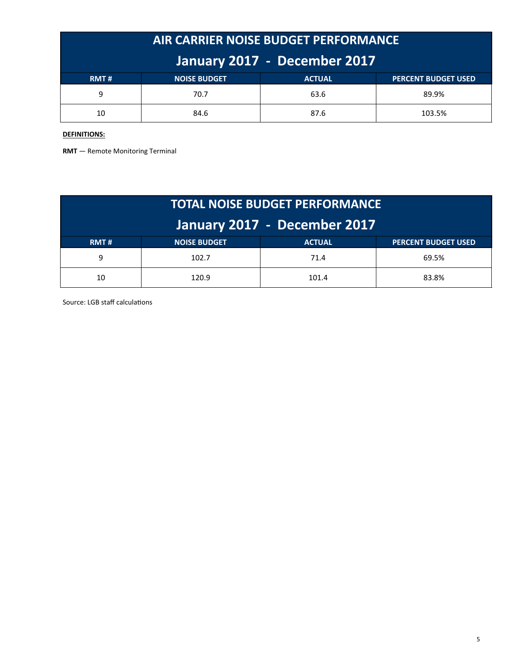| AIR CARRIER NOISE BUDGET PERFORMANCE |                     |               |                            |  |  |  |  |
|--------------------------------------|---------------------|---------------|----------------------------|--|--|--|--|
| January 2017 - December 2017         |                     |               |                            |  |  |  |  |
| RMT#                                 | <b>NOISE BUDGET</b> | <b>ACTUAL</b> | <b>PERCENT BUDGET USED</b> |  |  |  |  |
| 9                                    | 70.7                | 63.6          | 89.9%                      |  |  |  |  |
| 10                                   | 84.6                | 87.6          | 103.5%                     |  |  |  |  |

#### **DEFINITIONS:**

**RMT** — Remote Monitoring Terminal

| <b>TOTAL NOISE BUDGET PERFORMANCE</b> |                     |               |                            |  |  |  |  |
|---------------------------------------|---------------------|---------------|----------------------------|--|--|--|--|
| January 2017 - December 2017          |                     |               |                            |  |  |  |  |
| RMT#                                  | <b>NOISE BUDGET</b> | <b>ACTUAL</b> | <b>PERCENT BUDGET USED</b> |  |  |  |  |
| 9                                     | 102.7               | 71.4          | 69.5%                      |  |  |  |  |
| 10                                    | 120.9               | 101.4         | 83.8%                      |  |  |  |  |

Source: LGB staff calculations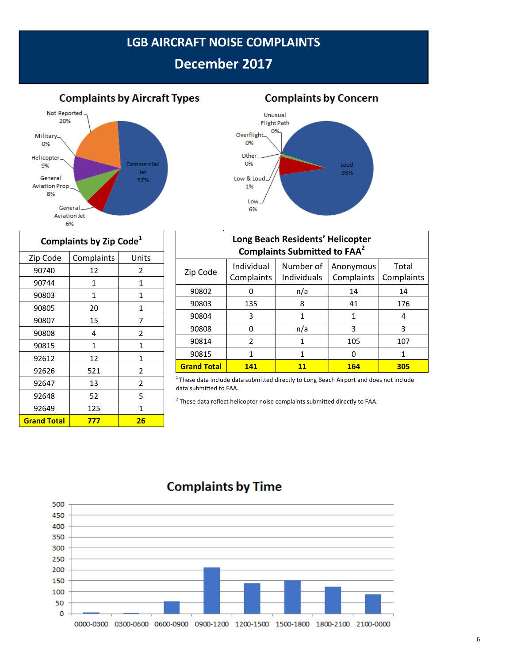### **LGB AIRCRAFT NOISE COMPLAINTS**

# **December 2017**

**Complaints by Aircraft Types** 





| Complaints by Zip Code <sup>1</sup> |              |                |  |  |  |  |  |
|-------------------------------------|--------------|----------------|--|--|--|--|--|
| Zip Code                            | Complaints   |                |  |  |  |  |  |
| 90740                               | 12           | 2              |  |  |  |  |  |
| 90744                               | 1            | 1              |  |  |  |  |  |
| 90803                               | $\mathbf{1}$ | 1              |  |  |  |  |  |
| 90805                               | 20           | 1              |  |  |  |  |  |
| 90807                               | 15           | 7              |  |  |  |  |  |
| 90808                               | 4            | 2              |  |  |  |  |  |
| 90815                               | $\mathbf{1}$ | 1              |  |  |  |  |  |
| 92612                               | 12           | 1              |  |  |  |  |  |
| 92626                               | 521          | 2              |  |  |  |  |  |
| 92647                               | 13           | $\overline{2}$ |  |  |  |  |  |
| 92648                               | 52           | 5              |  |  |  |  |  |
| 92649                               | 125          | 1              |  |  |  |  |  |
| <b>Grand Total</b>                  | 777          | 26             |  |  |  |  |  |

Г

| Long Beach Residents' Helicopter<br><b>Complaints Submitted to FAA<sup>2</sup></b> |                                                                                                               |     |     |     |  |  |  |
|------------------------------------------------------------------------------------|---------------------------------------------------------------------------------------------------------------|-----|-----|-----|--|--|--|
| Zip Code                                                                           | Individual<br>Number of<br>Total<br>Anonymous<br>Complaints<br><b>Individuals</b><br>Complaints<br>Complaints |     |     |     |  |  |  |
| 90802                                                                              | O                                                                                                             | n/a | 14  | 14  |  |  |  |
| 90803                                                                              | 135                                                                                                           | 8   | 41  | 176 |  |  |  |
| 90804                                                                              | 3                                                                                                             | 1   | 1   | 4   |  |  |  |
| 90808                                                                              | ŋ                                                                                                             | n/a | 3   | 3   |  |  |  |
| 90814                                                                              | $\mathcal{P}$                                                                                                 | 1   | 105 | 107 |  |  |  |
| 90815                                                                              |                                                                                                               | 1   | ŋ   | 1   |  |  |  |
| <b>Grand Total</b>                                                                 | 141                                                                                                           | 11  | 164 | 305 |  |  |  |

 $1$ These data include data submitted directly to Long Beach Airport and does not include data submitted to FAA.

 $^{2}$  These data reflect helicopter noise complaints submitted directly to FAA.



## **Complaints by Time**